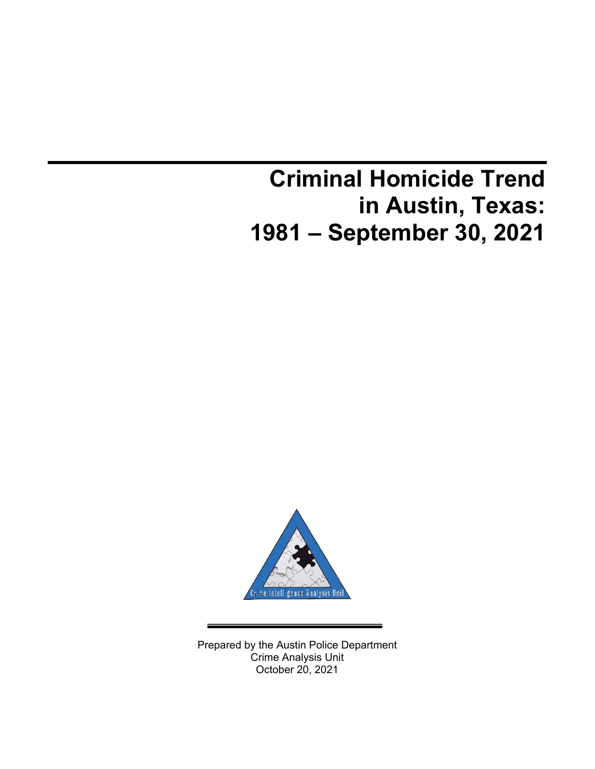# **Criminal Homicide Trend in Austin, Texas: 1981 – September 30, 2021**



Prepared by the Austin Police Department Crime Analysis Unit October 20, 2021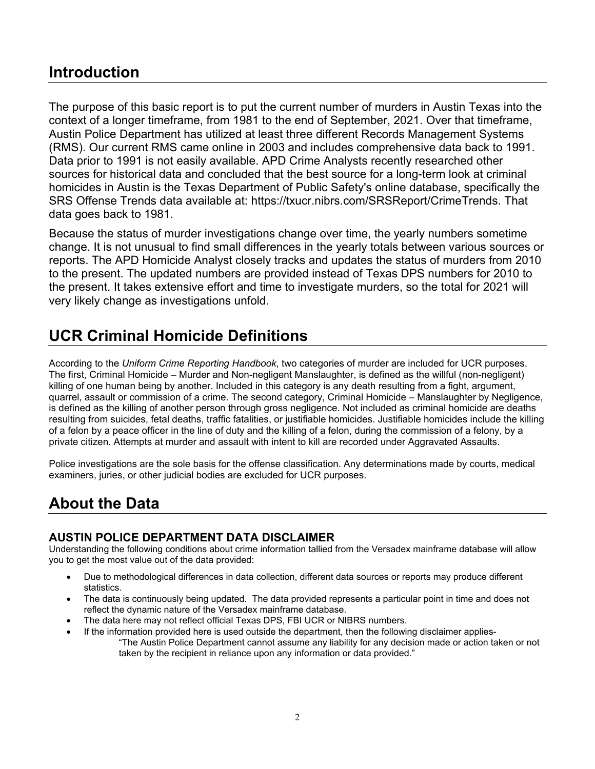### **Introduction**

The purpose of this basic report is to put the current number of murders in Austin Texas into the context of a longer timeframe, from 1981 to the end of September, 2021. Over that timeframe, Austin Police Department has utilized at least three different Records Management Systems (RMS). Our current RMS came online in 2003 and includes comprehensive data back to 1991. Data prior to 1991 is not easily available. APD Crime Analysts recently researched other sources for historical data and concluded that the best source for a long-term look at criminal homicides in Austin is the Texas Department of Public Safety's online database, specifically the SRS Offense Trends data available at: https://txucr.nibrs.com/SRSReport/CrimeTrends. That data goes back to 1981.

Because the status of murder investigations change over time, the yearly numbers sometime change. It is not unusual to find small differences in the yearly totals between various sources or reports. The APD Homicide Analyst closely tracks and updates the status of murders from 2010 to the present. The updated numbers are provided instead of Texas DPS numbers for 2010 to the present. It takes extensive effort and time to investigate murders, so the total for 2021 will very likely change as investigations unfold.

## **UCR Criminal Homicide Definitions**

According to the *Uniform Crime Reporting Handbook*, two categories of murder are included for UCR purposes. The first, Criminal Homicide – Murder and Non-negligent Manslaughter, is defined as the willful (non-negligent) killing of one human being by another. Included in this category is any death resulting from a fight, argument, quarrel, assault or commission of a crime. The second category, Criminal Homicide – Manslaughter by Negligence, is defined as the killing of another person through gross negligence. Not included as criminal homicide are deaths resulting from suicides, fetal deaths, traffic fatalities, or justifiable homicides. Justifiable homicides include the killing of a felon by a peace officer in the line of duty and the killing of a felon, during the commission of a felony, by a private citizen. Attempts at murder and assault with intent to kill are recorded under Aggravated Assaults.

Police investigations are the sole basis for the offense classification. Any determinations made by courts, medical examiners, juries, or other judicial bodies are excluded for UCR purposes.

## **About the Data**

#### **AUSTIN POLICE DEPARTMENT DATA DISCLAIMER**

Understanding the following conditions about crime information tallied from the Versadex mainframe database will allow you to get the most value out of the data provided:

- Due to methodological differences in data collection, different data sources or reports may produce different statistics.
- The data is continuously being updated. The data provided represents a particular point in time and does not reflect the dynamic nature of the Versadex mainframe database.
- The data here may not reflect official Texas DPS, FBI UCR or NIBRS numbers.
- If the information provided here is used outside the department, then the following disclaimer applies- "The Austin Police Department cannot assume any liability for any decision made or action taken or not taken by the recipient in reliance upon any information or data provided."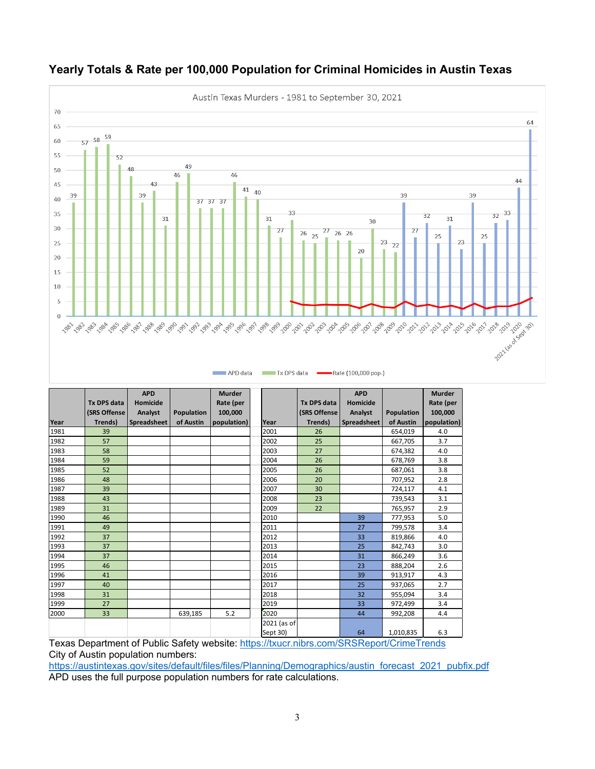

#### **Yearly Totals & Rate per 100,000 Population for Criminal Homicides in Austin Texas**

|      |                    | <b>APD</b>  |            | <b>Murder</b> |             |                    | <b>APD</b>  |                   | <b>Murder</b> |
|------|--------------------|-------------|------------|---------------|-------------|--------------------|-------------|-------------------|---------------|
|      | <b>Tx DPS data</b> | Homicide    |            | Rate (per     |             | <b>Tx DPS data</b> | Homicide    |                   | Rate (per     |
|      | (SRS Offense       | Analyst     | Population | 100.000       |             | (SRS Offense       | Analyst     | <b>Population</b> | 100,000       |
| Year | Trends)            | Spreadsheet | of Austin  | population)   | <b>Year</b> | Trends)            | Spreadsheet | of Austin         | population)   |
| 1981 | 39                 |             |            |               | 2001        | 26                 |             | 654,019           | 4.0           |
| 1982 | 57                 |             |            |               | 2002        | 25                 |             | 667,705           | 3.7           |
| 1983 | 58                 |             |            |               | 2003        | 27                 |             | 674,382           | 4.0           |
| 1984 | 59                 |             |            |               | 2004        | 26                 |             | 678,769           | 3.8           |
| 1985 | 52                 |             |            |               | 2005        | 26                 |             | 687,061           | 3.8           |
| 1986 | 48                 |             |            |               | 2006        | 20                 |             | 707,952           | 2.8           |
| 1987 | 39                 |             |            |               | 2007        | 30                 |             | 724,117           | 4.1           |
| 1988 | 43                 |             |            |               | 2008        | 23                 |             | 739,543           | 3.1           |
| 1989 | 31                 |             |            |               | 2009        | 22                 |             | 765,957           | 2.9           |
| 1990 | 46                 |             |            |               | 2010        |                    | 39          | 777,953           | 5.0           |
| 1991 | 49                 |             |            |               | 2011        |                    | 27          | 799,578           | 3.4           |
| 1992 | 37                 |             |            |               | 2012        |                    | 33          | 819,866           | 4.0           |
| 1993 | 37                 |             |            |               | 2013        |                    | 25          | 842,743           | 3.0           |
| 1994 | 37                 |             |            |               | 2014        |                    | 31          | 866,249           | 3.6           |
| 1995 | 46                 |             |            |               | 2015        |                    | 23          | 888,204           | 2.6           |
| 1996 | 41                 |             |            |               | 2016        |                    | 39          | 913,917           | 4.3           |
| 1997 | 40                 |             |            |               | 2017        |                    | 25          | 937,065           | 2.7           |
| 1998 | 31                 |             |            |               | 2018        |                    | 32          | 955,094           | 3.4           |
| 1999 | 27                 |             |            |               | 2019        |                    | 33          | 972,499           | 3.4           |
| 2000 | 33                 |             | 639,185    | 5.2           | 2020        |                    | 44          | 992,208           | 4.4           |
|      |                    |             |            |               | 2021 (as of |                    |             |                   |               |
|      |                    |             |            |               | Sept 30)    |                    | 64          | 1,010,835         | 6.3           |

Texas Department of Public Safety website:<https://txucr.nibrs.com/SRSReport/CrimeTrends> City of Austin population numbers:

[https://austintexas.gov/sites/default/files/files/Planning/Demographics/austin\\_forecast\\_2021\\_pubfix.pdf](https://austintexas.gov/sites/default/files/files/Planning/Demographics/austin_forecast_2021_pubfix.pdf) APD uses the full purpose population numbers for rate calculations.